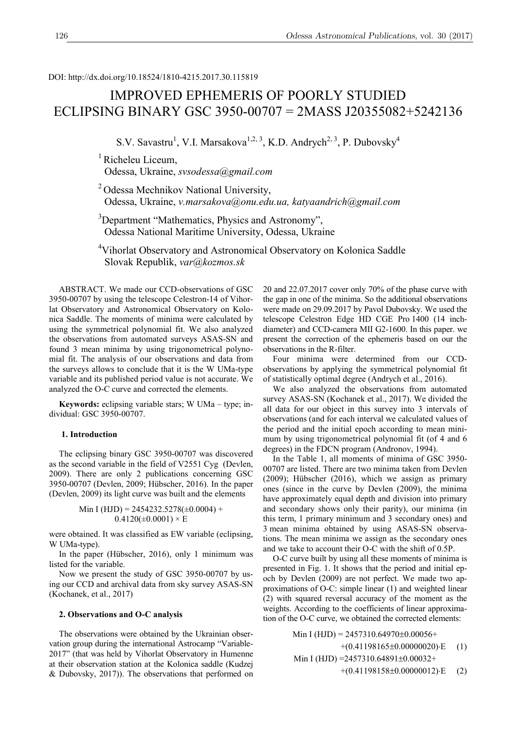DOI: http://dx.doi.org/10.18524/1810-4215.2017.30.115819

# IMPROVED EPHEMERIS OF POORLY STUDIED ECLIPSING BINARY GSC 3950-00707 = 2MASS J20355082+5242136

S.V. Savastru<sup>1</sup>, V.I. Marsakova<sup>1,2, 3</sup>, K.D. Andrych<sup>2, 3</sup>, P. Dubovsky<sup>4</sup>

 $<sup>1</sup>$  Richeleu Liceum,</sup> Odessa, Ukraine, *svsodessa@gmail.com*

<sup>2</sup> Odessa Mechnikov National University, Odessa, Ukraine, *v.marsakova@onu.edu.ua, katyaandrich@gmail.com*

<sup>3</sup>Department "Mathematics, Physics and Astronomy", Odessa National Maritime University, Odessa, Ukrainе

<sup>4</sup>Vihorlat Observatory and Astronomical Observatory on Kolonica Saddle Slovak Republik, *var@kozmos.sk*

ABSTRACT. We made our CCD-observations of GSC 3950-00707 by using the telescope Celestron-14 of Vihorlat Observatory and Astronomical Observatory on Kolonica Saddle. The moments of minima were calculated by using the symmetrical polynomial fit. We also analyzed the observations from automated surveys ASAS-SN and found 3 mean minima by using trigonometrical polynomial fit. The analysis of our observations and data from the surveys allows to conclude that it is the W UMa-type variable and its published period value is not accurate. We analyzed the O-C curve and corrected the elements.

**Keywords:** eclipsing variable stars; W UMa – type; individual: GSC 3950-00707.

## **1. Introduction**

The eclipsing binary GSC 3950-00707 was discovered as the second variable in the field of V2551 Cyg (Devlen, 2009). There are only 2 publications concerning GSC 3950-00707 (Devlen, 2009; Hübscher, 2016). In the paper (Devlen, 2009) its light curve was built and the elements

Min I (HJD) = 
$$
2454232.5278(\pm 0.0004) +
$$
  
0.4120( $\pm$ 0.0001) × E

were obtained. It was classified as EW variable (eclipsing, W UMa-type).

In the paper (Hübscher, 2016), only 1 minimum was listed for the variable.

Now we present the study of GSC 3950-00707 by using our CCD and archival data from sky survey ASAS-SN (Kochanek, et al., 2017)

## **2. Observations and O-C analysis**

The observations were obtained by the Ukrainian observation group during the international Astrocamp "Variable-2017" (that was held by Vihorlat Observatory in Humenne at their observation station at the Kolonica saddle (Kudzej & Dubovsky, 2017)). The observations that performed on 20 and 22.07.2017 cover only 70% of the phase curve with the gap in one of the minima. So the additional observations were made on 29.09.2017 by Pavol Dubovsky. We used the telescope Celestron Edge HD CGE Pro 1400 (14 inchdiameter) and CCD-camera MII G2-1600. In this paper. we present the correction of the ephemeris based on our the observations in the R-filter.

Four minima were determined from our CCDobservations by applying the symmetrical polynomial fit of statistically optimal degree (Andrych et al., 2016).

We also analyzed the observations from automated survey ASAS-SN (Kochanek et al., 2017). We divided the all data for our object in this survey into 3 intervals of observations (and for each interval we calculated values of the period and the initial epoch according to mean minimum by using trigonometrical polynomial fit (of 4 and 6 degrees) in the FDCN program (Andronov, 1994).

In the Table 1, all moments of minima of GSC 3950- 00707 are listed. There are two minima taken from Devlen (2009); Hübscher (2016), which we assign as primary ones (since in the curve by Devlen (2009), the minima have approximately equal depth and division into primary and secondary shows only their parity), our minima (in this term, 1 primary minimum and 3 secondary ones) and 3 mean minima obtained by using ASAS-SN observations. The mean minima we assign as the secondary ones and we take to account their O-C with the shift of 0.5P.

O-C curve built by using all these moments of minima is presented in Fig. 1. It shows that the period and initial epoch by Devlen (2009) are not perfect. We made two approximations of O-C: simple linear (1) and weighted linear (2) with squared reversal accuracy of the moment as the weights. According to the coefficients of linear approximation of the O-C curve, we obtained the corrected elements:

Min I (HJD) = 
$$
2457310.64970\pm0.00056+
$$
  
+ $(0.41198165\pm0.00000020)$ ·E (1)  
Min I (HJD) = $2457310.64891\pm0.00032+$   
+ $(0.41198158\pm0.00000012)$ ·E (2)